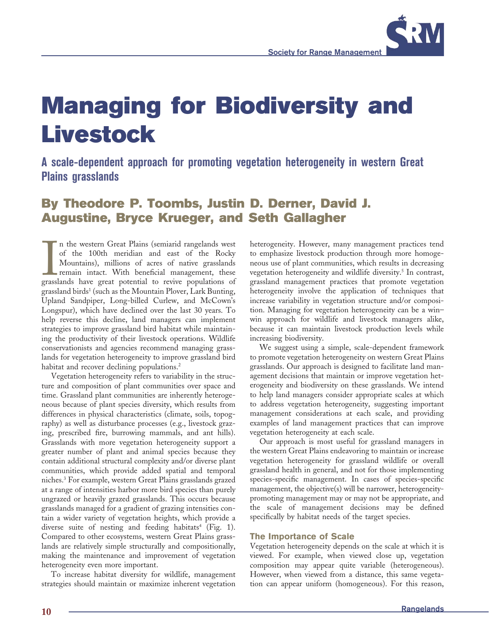# **Managing for Biodiversity and Livestock**

**A scale-dependent approach for promoting vegetation heterogeneity in western Great Plains grasslands**

## **By Theodore P. Toombs, Justin D. Derner, David J. Augustine, Bryce Krueger, and Seth Gallagher**

In the western Great Plains (semiarid rangelands west<br>of the 100th meridian and east of the Rocky<br>Mountains), millions of acres of native grasslands<br>remain intact. With beneficial management, these<br>grasslands have great po n the western Great Plains (semiarid rangelands west of the 100th meridian and east of the Rocky Mountains), millions of acres of native grasslands remain intact. With beneficial management, these grassland birds<sup>1</sup> (such as the Mountain Plover, Lark Bunting, Upland Sandpiper, Long-billed Curlew, and McCown's Longspur), which have declined over the last 30 years. To help reverse this decline, land managers can implement strategies to improve grassland bird habitat while maintaining the productivity of their livestock operations. Wildlife conservationists and agencies recommend managing grasslands for vegetation heterogeneity to improve grassland bird habitat and recover declining populations.<sup>2</sup>

Vegetation heterogeneity refers to variability in the structure and composition of plant communities over space and time. Grassland plant communities are inherently heterogeneous because of plant species diversity, which results from differences in physical characteristics (climate, soils, topography) as well as disturbance processes (e.g., livestock grazing, prescribed fire, burrowing mammals, and ant hills). Grasslands with more vegetation heterogeneity support a greater number of plant and animal species because they contain additional structural complexity and/or diverse plant communities, which provide added spatial and temporal niches.3 For example, western Great Plains grasslands grazed at a range of intensities harbor more bird species than purely ungrazed or heavily grazed grasslands. This occurs because grasslands managed for a gradient of grazing intensities contain a wider variety of vegetation heights, which provide a diverse suite of nesting and feeding habitats<sup>4</sup> (Fig. 1). Compared to other ecosystems, western Great Plains grasslands are relatively simple structurally and compositionally, making the maintenance and improvement of vegetation heterogeneity even more important.

To increase habitat diversity for wildlife, management strategies should maintain or maximize inherent vegetation

heterogeneity. However, many management practices tend to emphasize livestock production through more homogeneous use of plant communities, which results in decreasing vegetation heterogeneity and wildlife diversity.<sup>5</sup> In contrast, grassland management practices that promote vegetation heterogeneity involve the application of techniques that increase variability in vegetation structure and/or composition. Managing for vegetation heterogeneity can be a win– win approach for wildlife and livestock managers alike, because it can maintain livestock production levels while increasing biodiversity.

We suggest using a simple, scale-dependent framework to promote vegetation heterogeneity on western Great Plains grasslands. Our approach is designed to facilitate land management decisions that maintain or improve vegetation heterogeneity and biodiversity on these grasslands. We intend to help land managers consider appropriate scales at which to address vegetation heterogeneity, suggesting important management considerations at each scale, and providing examples of land management practices that can improve vegetation heterogeneity at each scale.

Our approach is most useful for grassland managers in the western Great Plains endeavoring to maintain or increase vegetation heterogeneity for grassland wildlife or overall grassland health in general, and not for those implementing species-specific management. In cases of species-specific management, the objective(s) will be narrower, heterogeneitypromoting management may or may not be appropriate, and the scale of management decisions may be defined specifically by habitat needs of the target species.

## **The Importance of Scale**

Vegetation heterogeneity depends on the scale at which it is viewed. For example, when viewed close up, vegetation composition may appear quite variable (heterogeneous). However, when viewed from a distance, this same vegetation can appear uniform (homogeneous). For this reason,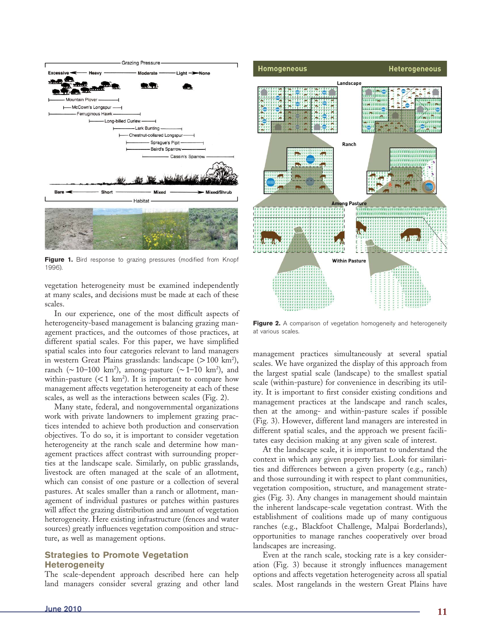

Figure 1. Bird response to grazing pressures (modified from Knopf 1996).

vegetation heterogeneity must be examined independently at many scales, and decisions must be made at each of these scales.

In our experience, one of the most difficult aspects of heterogeneity-based management is balancing grazing management practices, and the outcomes of those practices, at different spatial scales. For this paper, we have simplified spatial scales into four categories relevant to land managers in western Great Plains grasslands: landscape (> 100 km2 ), ranch ( $\sim$  10–100 km<sup>2</sup>), among-pasture ( $\sim$  1–10 km<sup>2</sup>), and within-pasture  $(< 1 \text{ km}^2)$ . It is important to compare how management affects vegetation heterogeneity at each of these scales, as well as the interactions between scales (Fig. 2).

Many state, federal, and nongovernmental organizations work with private landowners to implement grazing practices intended to achieve both production and conservation objectives. To do so, it is important to consider vegetation heterogeneity at the ranch scale and determine how management practices affect contrast with surrounding properties at the landscape scale. Similarly, on public grasslands, livestock are often managed at the scale of an allotment, which can consist of one pasture or a collection of several pastures. At scales smaller than a ranch or allotment, management of individual pastures or patches within pastures will affect the grazing distribution and amount of vegetation heterogeneity. Here existing infrastructure (fences and water sources) greatly influences vegetation composition and structure, as well as management options.

## **Strategies to Promote Vegetation Heterogeneity**

The scale-dependent approach described here can help land managers consider several grazing and other land



**Figure 2.** A comparison of vegetation homogeneity and heterogeneity at various scales.

management practices simultaneously at several spatial scales. We have organized the display of this approach from the largest spatial scale (landscape) to the smallest spatial scale (within-pasture) for convenience in describing its utility. It is important to first consider existing conditions and management practices at the landscape and ranch scales, then at the among- and within-pasture scales if possible (Fig. 3). However, different land managers are interested in different spatial scales, and the approach we present facilitates easy decision making at any given scale of interest.

At the landscape scale, it is important to understand the context in which any given property lies. Look for similarities and differences between a given property (e.g., ranch) and those surrounding it with respect to plant communities, vegetation composition, structure, and management strategies (Fig. 3). Any changes in management should maintain the inherent landscape-scale vegetation contrast. With the establishment of coalitions made up of many contiguous ranches (e.g., Blackfoot Challenge, Malpai Borderlands), opportunities to manage ranches cooperatively over broad landscapes are increasing.

Even at the ranch scale, stocking rate is a key consideration (Fig. 3) because it strongly influences management options and affects vegetation heterogeneity across all spatial scales. Most rangelands in the western Great Plains have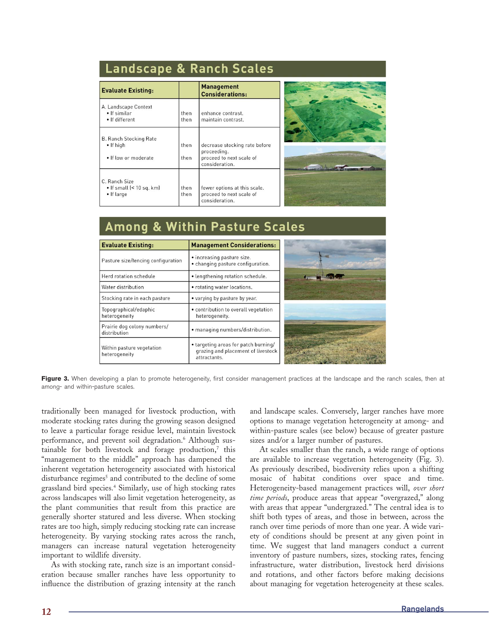# **Landscape & Ranch Scales**

| <b>Evaluate Existing:</b>                                           |              | <b>Management</b><br><b>Considerations:</b>                                                |  |
|---------------------------------------------------------------------|--------------|--------------------------------------------------------------------------------------------|--|
| A. Landscape Context<br>• If similar<br>• If different              | then<br>then | enhance contrast.<br>maintain contrast.                                                    |  |
| <b>B. Ranch Stocking Rate</b><br>• If high<br>. If low or moderate  | then<br>then | decrease stocking rate before<br>proceeding.<br>proceed to next scale of<br>consideration. |  |
| C. Ranch Size<br>$\bullet$ If small $\leq 10$ sq. km)<br>• If large | then<br>then | fewer options at this scale.<br>proceed to next scale of<br>consideration.                 |  |

#### **Among & Within Pasture Scales Evaluate Existing: Management Considerations:** · increasing pasture size. Pasture size/fencing configuration · changing pasture configuration. Herd rotation schedule · lengthening rotation schedule. Water distribution · rotating water locations. Stocking rate in each pasture • varying by pasture by year. Topographical/edaphic · contribution to overall vegetation heterogeneity heterogeneity. Prairie dog colony numbers/ · managing numbers/distribution. distribution • targeting areas for patch burning/ Within pasture vegetation grazing and placement of livestock heterogeneity attractants

### Figure 3. When developing a plan to promote heterogeneity, first consider management practices at the landscape and the ranch scales, then at among- and within-pasture scales.

traditionally been managed for livestock production, with moderate stocking rates during the growing season designed to leave a particular forage residue level, maintain livestock performance, and prevent soil degradation.<sup>6</sup> Although sus $tainable$  for both livestock and forage production, $\tau$  this "management to the middle" approach has dampened the inherent vegetation heterogeneity associated with historical disturbance regimes<sup>5</sup> and contributed to the decline of some grassland bird species.4 Similarly, use of high stocking rates across landscapes will also limit vegetation heterogeneity, as the plant communities that result from this practice are generally shorter statured and less diverse. When stocking rates are too high, simply reducing stocking rate can increase heterogeneity. By varying stocking rates across the ranch, managers can increase natural vegetation heterogeneity important to wildlife diversity.

As with stocking rate, ranch size is an important consideration because smaller ranches have less opportunity to influence the distribution of grazing intensity at the ranch and landscape scales. Conversely, larger ranches have more options to manage vegetation heterogeneity at among- and within-pasture scales (see below) because of greater pasture sizes and/or a larger number of pastures.

At scales smaller than the ranch, a wide range of options are available to increase vegetation heterogeneity (Fig. 3). As previously described, biodiversity relies upon a shifting mosaic of habitat conditions over space and time. Heterogeneity-based management practices will, *over short time periods*, produce areas that appear "overgrazed," along with areas that appear "undergrazed." The central idea is to shift both types of areas, and those in between, across the ranch over time periods of more than one year. A wide variety of conditions should be present at any given point in time. We suggest that land managers conduct a current inventory of pasture numbers, sizes, stocking rates, fencing infrastructure, water distribution, livestock herd divisions and rotations, and other factors before making decisions about managing for vegetation heterogeneity at these scales.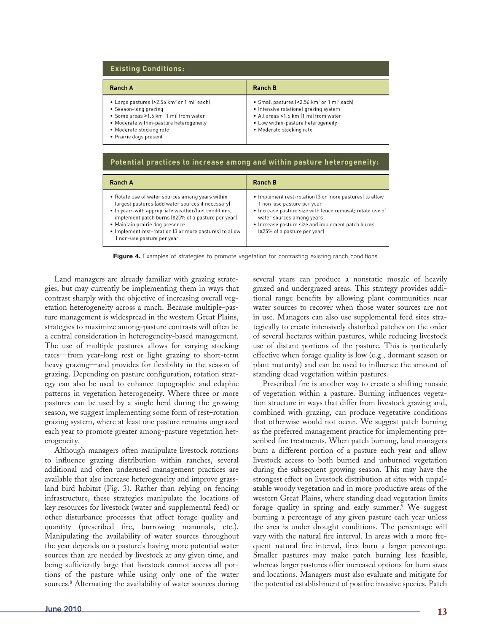| <b>Existing Conditions:</b>                                                                                                                                                                                                            |                                                                                                                                                                                                                        |  |  |
|----------------------------------------------------------------------------------------------------------------------------------------------------------------------------------------------------------------------------------------|------------------------------------------------------------------------------------------------------------------------------------------------------------------------------------------------------------------------|--|--|
| <b>Ranch A</b>                                                                                                                                                                                                                         | <b>Ranch B</b>                                                                                                                                                                                                         |  |  |
| • Large pastures (>2.56 km <sup>2</sup> or 1 mi <sup>2</sup> each)<br>• Season-long grazing<br>• Some areas >1.6 km [1 mi] from water<br>• Moderate within-pasture heterogeneity<br>• Moderate stocking rate<br>• Prairie dogs present | • Small pastures (<2.56 km <sup>2</sup> or 1 mi <sup>2</sup> each)<br>• Intensive rotational grazing system<br>• All areas <1.6 km [1 mi] from water<br>• Low within-pasture heterogeneity<br>• Moderate stocking rate |  |  |

| Potential practices to increase among and within pasture heterogeneity:                                                                                                                                                                                                                                                                         |                                                                                                                                                                                                                                                                      |  |  |  |
|-------------------------------------------------------------------------------------------------------------------------------------------------------------------------------------------------------------------------------------------------------------------------------------------------------------------------------------------------|----------------------------------------------------------------------------------------------------------------------------------------------------------------------------------------------------------------------------------------------------------------------|--|--|--|
| Ranch A                                                                                                                                                                                                                                                                                                                                         | <b>Ranch B</b>                                                                                                                                                                                                                                                       |  |  |  |
| • Rotate use of water sources among years within<br>largest pastures (add water sources if necessary)<br>. In years with appropriate weather/fuel conditions,<br>implement patch burns (≤25% of a pasture per year)<br>· Maintain prairie dog presence<br>. Implement rest-rotation (3 or more pastures) to allow<br>1 non-use pasture per year | . Implement rest-rotation (3 or more pastures) to allow<br>1 non-use pasture per year<br>. Increase pasture size with fence removal; rotate use of<br>water sources among years<br>• Increase pasture size and implement patch burns<br>(≤25% of a pasture per year) |  |  |  |

Figure 4. Examples of strategies to promote vegetation for contrasting existing ranch conditions.

Land managers are already familiar with grazing strategies, but may currently be implementing them in ways that contrast sharply with the objective of increasing overall vegetation heterogeneity across a ranch. Because multiple-pasture management is widespread in the western Great Plains, strategies to maximize among-pasture contrasts will often be a central consideration in heterogeneity-based management. The use of multiple pastures allows for varying stocking rates—from year-long rest or light grazing to short-term heavy grazing—and provides for flexibility in the season of grazing. Depending on pasture configuration, rotation strategy can also be used to enhance topographic and edaphic patterns in vegetation heterogeneity. Where three or more pastures can be used by a single herd during the growing season, we suggest implementing some form of rest–rotation grazing system, where at least one pasture remains ungrazed each year to promote greater among-pasture vegetation heterogeneity.

Although managers often manipulate livestock rotations to influence grazing distribution within ranches, several additional and often underused management practices are available that also increase heterogeneity and improve grassland bird habitat (Fig. 3). Rather than relying on fencing infrastructure, these strategies manipulate the locations of key resources for livestock (water and supplemental feed) or other disturbance processes that affect forage quality and quantity (prescribed fire, burrowing mammals, etc.). Manipulating the availability of water sources throughout the year depends on a pasture's having more potential water sources than are needed by livestock at any given time, and being sufficiently large that livestock cannot access all portions of the pasture while using only one of the water sources.8 Alternating the availability of water sources during several years can produce a nonstatic mosaic of heavily grazed and undergrazed areas. This strategy provides additional range benefits by allowing plant communities near water sources to recover when those water sources are not in use. Managers can also use supplemental feed sites strategically to create intensively disturbed patches on the order of several hectares within pastures, while reducing livestock use of distant portions of the pasture. This is particularly effective when forage quality is low (e.g., dormant season or plant maturity) and can be used to influence the amount of standing dead vegetation within pastures.

Prescribed fire is another way to create a shifting mosaic of vegetation within a pasture. Burning influences vegetation structure in ways that differ from livestock grazing and, combined with grazing, can produce vegetative conditions that otherwise would not occur. We suggest patch burning as the preferred management practice for implementing prescribed fire treatments. When patch burning, land managers burn a different portion of a pasture each year and allow livestock access to both burned and unburned vegetation during the subsequent growing season. This may have the strongest effect on livestock distribution at sites with unpalatable woody vegetation and in more productive areas of the western Great Plains, where standing dead vegetation limits forage quality in spring and early summer.<sup>9</sup> We suggest burning a percentage of any given pasture each year unless the area is under drought conditions. The percentage will vary with the natural fire interval. In areas with a more frequent natural fire interval, fires burn a larger percentage. Smaller pastures may make patch burning less feasible, whereas larger pastures offer increased options for burn sizes and locations. Managers must also evaluate and mitigate for the potential establishment of postfire invasive species. Patch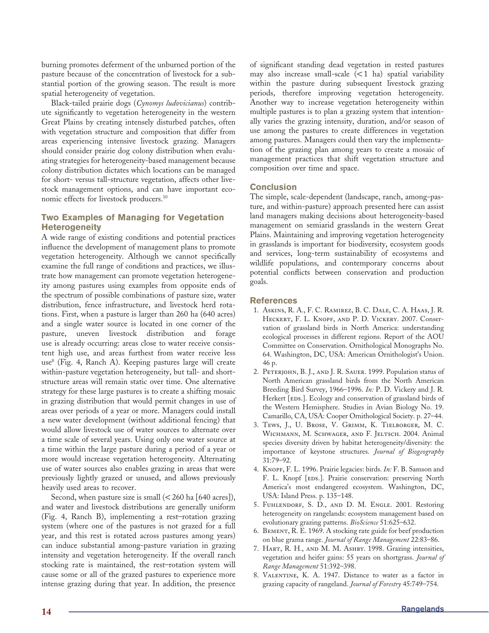burning promotes deferment of the unburned portion of the pasture because of the concentration of livestock for a substantial portion of the growing season. The result is more spatial heterogeneity of vegetation.

Black-tailed prairie dogs (*Cynomys ludovicianus*) contribute significantly to vegetation heterogeneity in the western Great Plains by creating intensely disturbed patches, often with vegetation structure and composition that differ from areas experiencing intensive livestock grazing. Managers should consider prairie dog colony distribution when evaluating strategies for heterogeneity-based management because colony distribution dictates which locations can be managed for short- versus tall-structure vegetation, affects other livestock management options, and can have important economic effects for livestock producers.10

## **Two Examples of Managing for Vegetation Heterogeneity**

A wide range of existing conditions and potential practices influence the development of management plans to promote vegetation heterogeneity. Although we cannot specifically examine the full range of conditions and practices, we illustrate how management can promote vegetation heterogeneity among pastures using examples from opposite ends of the spectrum of possible combinations of pasture size, water distribution, fence infrastructure, and livestock herd rotations. First, when a pasture is larger than 260 ha (640 acres) and a single water source is located in one corner of the pasture, uneven livestock distribution and forage use is already occurring: areas close to water receive consistent high use, and areas furthest from water receive less use8 (Fig. 4, Ranch A). Keeping pastures large will create within-pasture vegetation heterogeneity, but tall- and shortstructure areas will remain static over time. One alternative strategy for these large pastures is to create a shifting mosaic in grazing distribution that would permit changes in use of areas over periods of a year or more. Managers could install a new water development (without additional fencing) that would allow livestock use of water sources to alternate over a time scale of several years. Using only one water source at a time within the large pasture during a period of a year or more would increase vegetation heterogeneity. Alternating use of water sources also enables grazing in areas that were previously lightly grazed or unused, and allows previously heavily used areas to recover.

Second, when pasture size is small (< 260 ha [640 acres]), and water and livestock distributions are generally uniform (Fig. 4, Ranch B), implementing a rest–rotation grazing system (where one of the pastures is not grazed for a full year, and this rest is rotated across pastures among years) can induce substantial among-pasture variation in grazing intensity and vegetation heterogeneity. If the overall ranch stocking rate is maintained, the rest–rotation system will cause some or all of the grazed pastures to experience more intense grazing during that year. In addition, the presence

of significant standing dead vegetation in rested pastures may also increase small-scale  $(< 1$  ha) spatial variability within the pasture during subsequent livestock grazing periods, therefore improving vegetation heterogeneity. Another way to increase vegetation heterogeneity within multiple pastures is to plan a grazing system that intentionally varies the grazing intensity, duration, and/or season of use among the pastures to create differences in vegetation among pastures. Managers could then vary the implementation of the grazing plan among years to create a mosaic of management practices that shift vegetation structure and composition over time and space.

## **Conclusion**

The simple, scale-dependent (landscape, ranch, among-pasture, and within-pasture) approach presented here can assist land managers making decisions about heterogeneity-based management on semiarid grasslands in the western Great Plains. Maintaining and improving vegetation heterogeneity in grasslands is important for biodiversity, ecosystem goods and services, long-term sustainability of ecosystems and wildlife populations, and contemporary concerns about potential conflicts between conservation and production goals.

## **References**

- 1. Askins, R. A., F. C. Ramirez, B. C. Dale, C. A. Haas, J. R. HECKERT, F. L. KNOPF, AND P. D. VICKERY. 2007. Conservation of grassland birds in North America: understanding ecological processes in different regions. Report of the AOU Committee on Conservation. Ornithological Monographs No. 64. Washington, DC, USA: American Ornithologist's Union. 46 p.
- 2. Peterjohn, B. J., and J. R. Sauer. 1999. Population status of North American grassland birds from the North American Breeding Bird Survey, 1966–1996. *In:* P. D. Vickery and J. R. Herkert [EDS.]. Ecology and conservation of grassland birds of the Western Hemisphere. Studies in Avian Biology No. 19. Camarillo, CA, USA: Cooper Ornithological Society. p. 27–44.
- 3. Tews, J., U. Brose, V. Grimm, K. Tielborger, M. C. WICHMANN, M. SCHWAGER, AND F. JELTSCH. 2004. Animal species diversity driven by habitat heterogeneity/diversity: the importance of keystone structures. *Journal of Biogeography* 31:79–92.
- 4. Knopf, F. L. 1996. Prairie legacies: birds. *In:* F. B. Samson and F. L. Knopf [EDS.]. Prairie conservation: preserving North America's most endangered ecosystem. Washington, DC, USA: Island Press. p. 135–148.
- 5. Fuhlendorf, S. D., and D. M. Engle. 2001. Restoring heterogeneity on rangelands: ecosystem management based on evolutionary grazing patterns. *BioScience* 51:625–632.
- 6. Bement, R. E. 1969. A stocking rate guide for beef production on blue grama range. *Journal of Range Management* 22:83–86.
- 7. Hart, R. H., and M. M. Ashby. 1998. Grazing intensities, vegetation and heifer gains: 55 years on shortgrass. *Journal of Range Management* 51:392–398.
- 8. VALENTINE, K. A. 1947. Distance to water as a factor in grazing capacity of rangeland. *Journal of Forestry* 45:749–754.